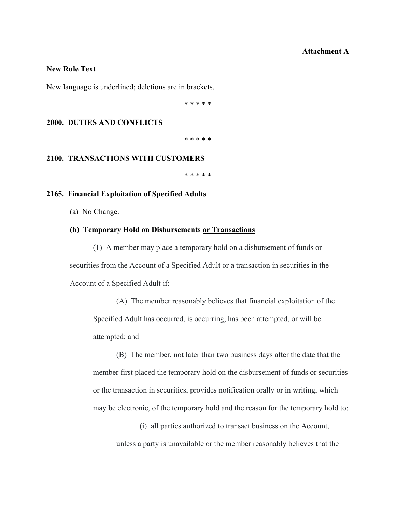### **Attachment A**

# **New Rule Text**

New language is underlined; deletions are in brackets.

\* \* \* \* \*

# **2000. DUTIES AND CONFLICTS**

\* \* \* \* \*

## **2100. TRANSACTIONS WITH CUSTOMERS**

\* \* \* \* \*

#### **2165. Financial Exploitation of Specified Adults**

(a) No Change.

#### **(b) Temporary Hold on Disbursements or Transactions**

(1) A member may place a temporary hold on a disbursement of funds or securities from the Account of a Specified Adult or a transaction in securities in the Account of a Specified Adult if:

(A) The member reasonably believes that financial exploitation of the Specified Adult has occurred, is occurring, has been attempted, or will be attempted; and

(B) The member, not later than two business days after the date that the member first placed the temporary hold on the disbursement of funds or securities or the transaction in securities, provides notification orally or in writing, which may be electronic, of the temporary hold and the reason for the temporary hold to:

(i) all parties authorized to transact business on the Account, unless a party is unavailable or the member reasonably believes that the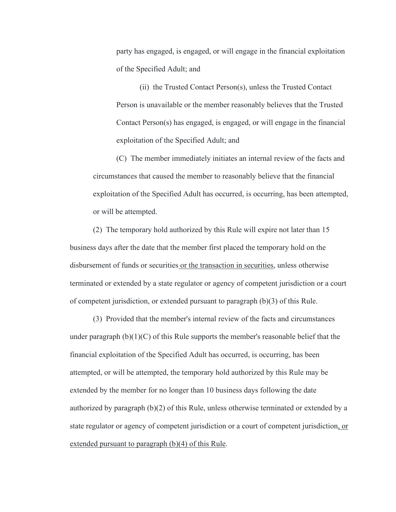party has engaged, is engaged, or will engage in the financial exploitation of the Specified Adult; and

(ii) the Trusted Contact Person(s), unless the Trusted Contact Person is unavailable or the member reasonably believes that the Trusted Contact Person(s) has engaged, is engaged, or will engage in the financial exploitation of the Specified Adult; and

(C) The member immediately initiates an internal review of the facts and circumstances that caused the member to reasonably believe that the financial exploitation of the Specified Adult has occurred, is occurring, has been attempted, or will be attempted.

(2) The temporary hold authorized by this Rule will expire not later than 15 business days after the date that the member first placed the temporary hold on the disbursement of funds or securities or the transaction in securities, unless otherwise terminated or extended by a state regulator or agency of competent jurisdiction or a court of competent jurisdiction, or extended pursuant to paragraph (b)(3) of this Rule.

(3) Provided that the member's internal review of the facts and circumstances under paragraph  $(b)(1)(C)$  of this Rule supports the member's reasonable belief that the financial exploitation of the Specified Adult has occurred, is occurring, has been attempted, or will be attempted, the temporary hold authorized by this Rule may be extended by the member for no longer than 10 business days following the date authorized by paragraph  $(b)(2)$  of this Rule, unless otherwise terminated or extended by a state regulator or agency of competent jurisdiction or a court of competent jurisdiction, or extended pursuant to paragraph (b)(4) of this Rule.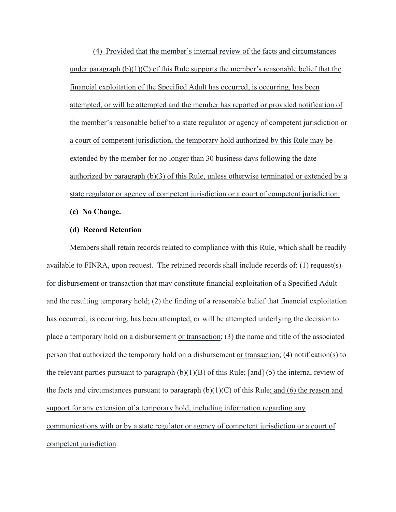(4) Provided that the member's internal review of the facts and circumstances under paragraph  $(b)(1)(C)$  of this Rule supports the member's reasonable belief that the financial exploitation of the Specified Adult has occurred, is occurring, has been attempted, or will be attempted and the member has reported or provided notification of the member's reasonable belief to a state regulator or agency of competent jurisdiction or a court of competent jurisdiction, the temporary hold authorized by this Rule may be extended by the member for no longer than 30 business days following the date authorized by paragraph (b)(3) of this Rule, unless otherwise terminated or extended by a state regulator or agency of competent jurisdiction or a court of competent jurisdiction.

**(c) No Change.** 

## **(d) Record Retention**

Members shall retain records related to compliance with this Rule, which shall be readily available to FINRA, upon request. The retained records shall include records of: (1) request(s) for disbursement or transaction that may constitute financial exploitation of a Specified Adult and the resulting temporary hold; (2) the finding of a reasonable belief that financial exploitation has occurred, is occurring, has been attempted, or will be attempted underlying the decision to place a temporary hold on a disbursement or transaction; (3) the name and title of the associated person that authorized the temporary hold on a disbursement or transaction; (4) notification(s) to the relevant parties pursuant to paragraph  $(b)(1)(B)$  of this Rule; [and] (5) the internal review of the facts and circumstances pursuant to paragraph  $(b)(1)(C)$  of this Rule; and (6) the reason and support for any extension of a temporary hold, including information regarding any communications with or by a state regulator or agency of competent jurisdiction or a court of competent jurisdiction.